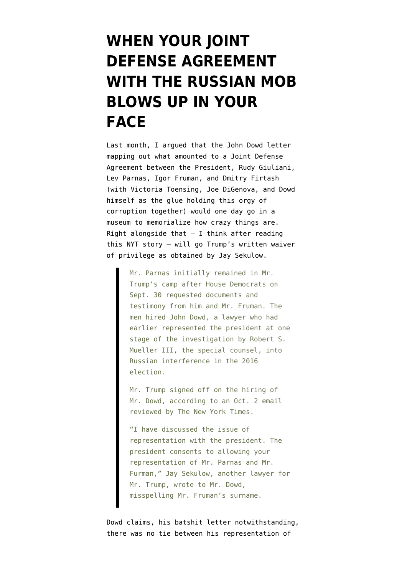## **[WHEN YOUR JOINT](https://www.emptywheel.net/2019/11/04/when-your-joint-defense-agreement-with-the-russian-mob-blows-up-in-your-face/) [DEFENSE AGREEMENT](https://www.emptywheel.net/2019/11/04/when-your-joint-defense-agreement-with-the-russian-mob-blows-up-in-your-face/) [WITH THE RUSSIAN MOB](https://www.emptywheel.net/2019/11/04/when-your-joint-defense-agreement-with-the-russian-mob-blows-up-in-your-face/) [BLOWS UP IN YOUR](https://www.emptywheel.net/2019/11/04/when-your-joint-defense-agreement-with-the-russian-mob-blows-up-in-your-face/) [FACE](https://www.emptywheel.net/2019/11/04/when-your-joint-defense-agreement-with-the-russian-mob-blows-up-in-your-face/)**

Last month, I [argued](https://www.emptywheel.net/2019/10/12/the-presidents-joint-defense-agreement-with-the-russian-mob/) that the John Dowd letter mapping out what amounted to a Joint Defense Agreement between the President, Rudy Giuliani, Lev Parnas, Igor Fruman, and Dmitry Firtash (with Victoria Toensing, Joe DiGenova, and Dowd himself as the glue holding this orgy of corruption together) would one day go in a museum to memorialize how crazy things are. Right alongside that  $-$  I think after reading [this NYT story](https://www.nytimes.com/2019/11/04/nyregion/lev-parnas-giuliani-associate.html) — will go Trump's written waiver of privilege as obtained by Jay Sekulow.

> Mr. Parnas initially remained in Mr. Trump's camp after House Democrats on Sept. 30 requested documents and testimony from him and Mr. Fruman. The men hired John Dowd, a lawyer who had earlier represented the president at one stage of the investigation by Robert S. Mueller III, the special counsel, into Russian interference in the 2016 election.

Mr. Trump signed off on the hiring of Mr. Dowd, according to an Oct. 2 email reviewed by The New York Times.

"I have discussed the issue of representation with the president. The president consents to allowing your representation of Mr. Parnas and Mr. Furman," Jay Sekulow, another lawyer for Mr. Trump, wrote to Mr. Dowd, misspelling Mr. Fruman's surname.

Dowd claims, his batshit letter notwithstanding, there was no tie between his representation of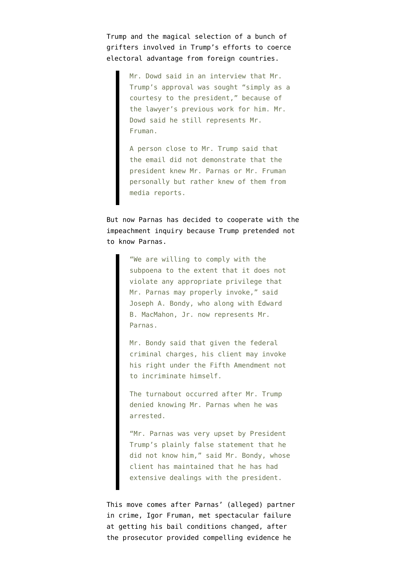Trump and the magical selection of a bunch of grifters involved in Trump's efforts to coerce electoral advantage from foreign countries.

> Mr. Dowd said in an interview that Mr. Trump's approval was sought "simply as a courtesy to the president," because of the lawyer's previous work for him. Mr. Dowd said he still represents Mr. Fruman.

A person close to Mr. Trump said that the email did not demonstrate that the president knew Mr. Parnas or Mr. Fruman personally but rather knew of them from media reports.

But now Parnas has decided to cooperate with the impeachment inquiry because Trump pretended not to know Parnas.

> "We are willing to comply with the subpoena to the extent that it does not violate any appropriate privilege that Mr. Parnas may properly invoke," said Joseph A. Bondy, who along with Edward B. MacMahon, Jr. now represents Mr. Parnas.

> Mr. Bondy said that given the federal criminal charges, his client may invoke his right under the Fifth Amendment not to incriminate himself.

The turnabout occurred after Mr. Trump denied knowing Mr. Parnas when he was arrested.

"Mr. Parnas was very upset by President Trump's plainly false statement that he did not know him," said Mr. Bondy, whose client has maintained that he has had extensive dealings with the president.

This move comes after Parnas' (alleged) partner in crime, Igor Fruman, [met spectacular failure](https://www.buzzfeednews.com/article/emaoconnor/igor-fruman-giuliani-ukraine-flight-risk-bail) at getting his bail conditions changed, after the prosecutor provided compelling evidence he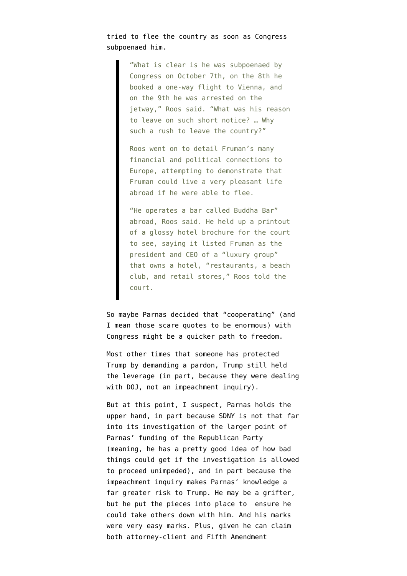tried to flee the country as soon as Congress subpoenaed him.

> "What is clear is he was subpoenaed by Congress on October 7th, on the 8th he booked a one-way flight to Vienna, and on the 9th he was arrested on the jetway," Roos said. "What was his reason to leave on such short notice? … Why such a rush to leave the country?"

Roos went on to detail Fruman's many financial and political connections to Europe, attempting to demonstrate that Fruman could live a very pleasant life abroad if he were able to flee.

"He operates a bar called Buddha Bar" abroad, Roos said. He held up a printout of a glossy hotel brochure for the court to see, saying it listed Fruman as the president and CEO of a "luxury group" that owns a hotel, "restaurants, a beach club, and retail stores," Roos told the court.

So maybe Parnas decided that "cooperating" (and I mean those scare quotes to be enormous) with Congress might be a quicker path to freedom.

Most other times that someone has protected Trump by demanding a pardon, Trump still held the leverage (in part, because they were dealing with DOJ, not an impeachment inquiry).

But at this point, I suspect, Parnas holds the upper hand, in part because SDNY is not that far into its investigation of the larger point of Parnas' funding of the Republican Party (meaning, he has a pretty good idea of how bad things could get if the investigation is allowed to proceed unimpeded), and in part because the impeachment inquiry makes Parnas' knowledge a far greater risk to Trump. He may be a grifter, but he put the pieces into place to ensure he could take others down with him. And his marks were very easy marks. Plus, given he can claim both attorney-client and Fifth Amendment